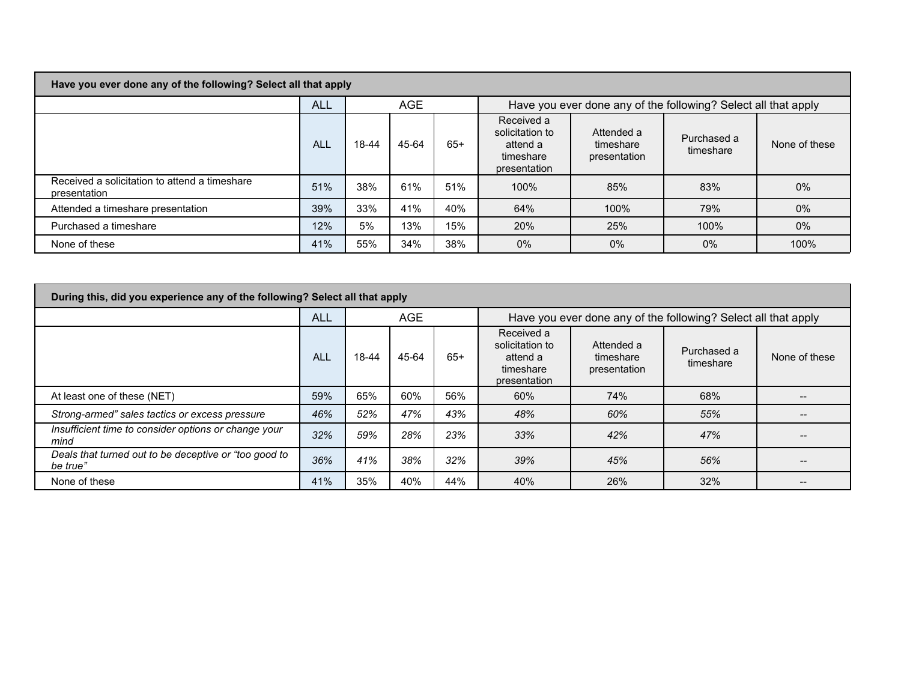|  | Have you ever done any of the following? Select all that apply |
|--|----------------------------------------------------------------|
|--|----------------------------------------------------------------|

a sa kacamatan ing Kabupatèn Kabupatèn Kabupatèn Kabupatèn Kabupatèn Kabupatèn Kabupatèn Kabupatèn Kabupatèn K

|                                                               | ALL        | <b>AGE</b> |       |       | Have you ever done any of the following? Select all that apply         |                                         |                          |               |  |  |
|---------------------------------------------------------------|------------|------------|-------|-------|------------------------------------------------------------------------|-----------------------------------------|--------------------------|---------------|--|--|
|                                                               | <b>ALL</b> | 18-44      | 45-64 | $65+$ | Received a<br>solicitation to<br>attend a<br>timeshare<br>presentation | Attended a<br>timeshare<br>presentation | Purchased a<br>timeshare | None of these |  |  |
| Received a solicitation to attend a timeshare<br>presentation | 51%        | 38%        | 61%   | 51%   | 100%                                                                   | 85%                                     | 83%                      | 0%            |  |  |
| Attended a timeshare presentation                             | 39%        | 33%        | 41%   | 40%   | 64%                                                                    | 100%                                    | 79%                      | 0%            |  |  |
| Purchased a timeshare                                         | 12%        | 5%         | 13%   | 15%   | 20%                                                                    | 25%                                     | 100%                     | 0%            |  |  |
| None of these                                                 | 41%        | 55%        | 34%   | 38%   | 0%                                                                     | 0%                                      | $0\%$                    | 100%          |  |  |

| During this, did you experience any of the following? Select all that apply |            |            |       |       |                                                                        |                                         |                          |               |  |  |
|-----------------------------------------------------------------------------|------------|------------|-------|-------|------------------------------------------------------------------------|-----------------------------------------|--------------------------|---------------|--|--|
|                                                                             | <b>ALL</b> | <b>AGE</b> |       |       | Have you ever done any of the following? Select all that apply         |                                         |                          |               |  |  |
|                                                                             | <b>ALL</b> | 18-44      | 45-64 | $65+$ | Received a<br>solicitation to<br>attend a<br>timeshare<br>presentation | Attended a<br>timeshare<br>presentation | Purchased a<br>timeshare | None of these |  |  |
| At least one of these (NET)                                                 | 59%        | 65%        | 60%   | 56%   | 60%                                                                    | 74%                                     | 68%                      |               |  |  |
| Strong-armed" sales tactics or excess pressure                              | 46%        | 52%        | 47%   | 43%   | 48%                                                                    | 60%                                     | 55%                      |               |  |  |
| Insufficient time to consider options or change your<br>mind                | 32%        | 59%        | 28%   | 23%   | 33%                                                                    | 42%                                     | 47%                      |               |  |  |
| Deals that turned out to be deceptive or "too good to<br>be true"           | 36%        | 41%        | 38%   | 32%   | 39%                                                                    | 45%                                     | 56%                      |               |  |  |
| None of these                                                               | 41%        | 35%        | 40%   | 44%   | 40%                                                                    | 26%                                     | 32%                      |               |  |  |